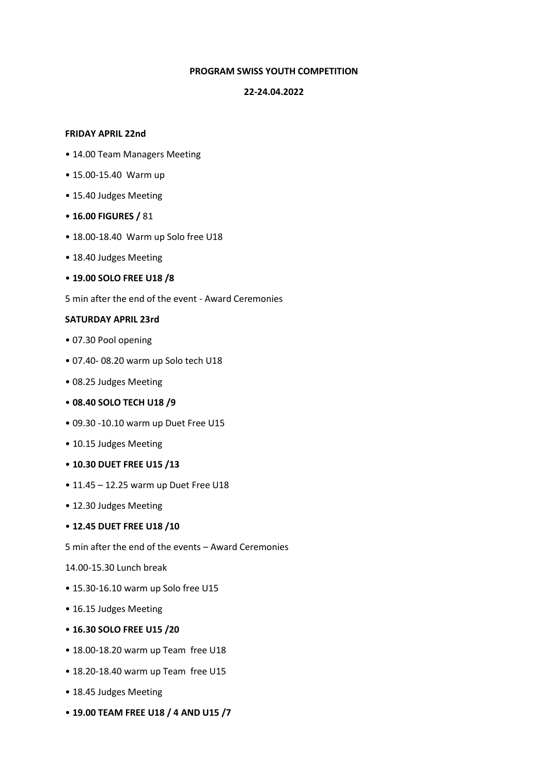## **PROGRAM SWISS YOUTH COMPETITION**

#### **22-24.04.2022**

#### **FRIDAY APRIL 22nd**

- 14.00 Team Managers Meeting
- 15.00-15.40 Warm up
- 15.40 Judges Meeting
- **16.00 FIGURES /** 81
- 18.00-18.40 Warm up Solo free U18
- 18.40 Judges Meeting
- **19.00 SOLO FREE U18 /8**

5 min after the end of the event - Award Ceremonies

## **SATURDAY APRIL 23rd**

- 07.30 Pool opening
- 07.40- 08.20 warm up Solo tech U18
- 08.25 Judges Meeting
- **08.40 SOLO TECH U18 /9**
- 09.30 -10.10 warm up Duet Free U15
- 10.15 Judges Meeting
- **10.30 DUET FREE U15 /13**
- 11.45 12.25 warm up Duet Free U18
- 12.30 Judges Meeting

#### • **12.45 DUET FREE U18 /10**

5 min after the end of the events – Award Ceremonies

- 14.00-15.30 Lunch break
- 15.30-16.10 warm up Solo free U15
- 16.15 Judges Meeting
- **16.30 SOLO FREE U15 /20**
- 18.00-18.20 warm up Team free U18
- 18.20-18.40 warm up Team free U15
- 18.45 Judges Meeting
- **19.00 TEAM FREE U18 / 4 AND U15 /7**